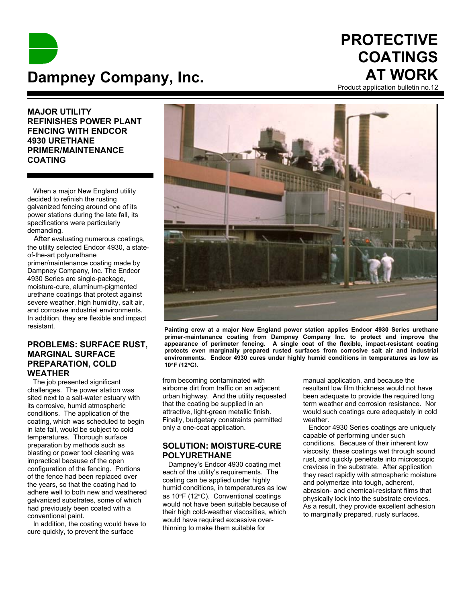

# **PROTECTIVE COATINGS AT WORK**

Product application bulletin no.12

**MAJOR UTILITY REFINISHES POWER PLANT FENCING WITH ENDCOR 4930 URETHANE PRIMER/MAINTENANCE COATING**

 When a major New England utility decided to refinish the rusting galvanized fencing around one of its power stations during the late fall, its specifications were particularly demanding.

 After evaluating numerous coatings, the utility selected Endcor 4930, a stateof-the-art polyurethane primer/maintenance coating made by Dampney Company, Inc. The Endcor 4930 Series are single-package, moisture-cure, aluminum-pigmented urethane coatings that protect against severe weather, high humidity, salt air, and corrosive industrial environments. In addition, they are flexible and impact resistant.

## **PROBLEMS: SURFACE RUST, MARGINAL SURFACE PREPARATION, COLD WEATHER**

 The job presented significant challenges. The power station was sited next to a salt-water estuary with its corrosive, humid atmospheric conditions. The application of the coating, which was scheduled to begin in late fall, would be subject to cold temperatures. Thorough surface preparation by methods such as blasting or power tool cleaning was impractical because of the open configuration of the fencing. Portions of the fence had been replaced over the years, so that the coating had to adhere well to both new and weathered galvanized substrates, some of which had previously been coated with a conventional paint.

 In addition, the coating would have to cure quickly, to prevent the surface



**Painting crew at a major New England power station applies Endcor 4930 Series urethane primer-maintenance coating from Dampney Company Inc. to protect and improve the appearance of perimeter fencing. A single coat of the flexible, impact-resistant coating protects even marginally prepared rusted surfaces from corrosive salt air and industrial environments. Endcor 4930 cures under highly humid conditions in temperatures as low as 10**°**F (12**°**C).**

from becoming contaminated with airborne dirt from traffic on an adjacent urban highway. And the utility requested that the coating be supplied in an attractive, light-green metallic finish. Finally, budgetary constraints permitted only a one-coat application.

## **SOLUTION: MOISTURE-CURE POLYURETHANE**

 Dampney's Endcor 4930 coating met each of the utility's requirements. The coating can be applied under highly humid conditions, in temperatures as low as 10°F (12°C). Conventional coatings would not have been suitable because of their high cold-weather viscosities, which would have required excessive overthinning to make them suitable for

manual application, and because the resultant low film thickness would not have been adequate to provide the required long term weather and corrosion resistance. Nor would such coatings cure adequately in cold weather.

 Endcor 4930 Series coatings are uniquely capable of performing under such conditions. Because of their inherent low viscosity, these coatings wet through sound rust, and quickly penetrate into microscopic crevices in the substrate. After application they react rapidly with atmospheric moisture and polymerize into tough, adherent, abrasion- and chemical-resistant films that physically lock into the substrate crevices. As a result, they provide excellent adhesion to marginally prepared, rusty surfaces.